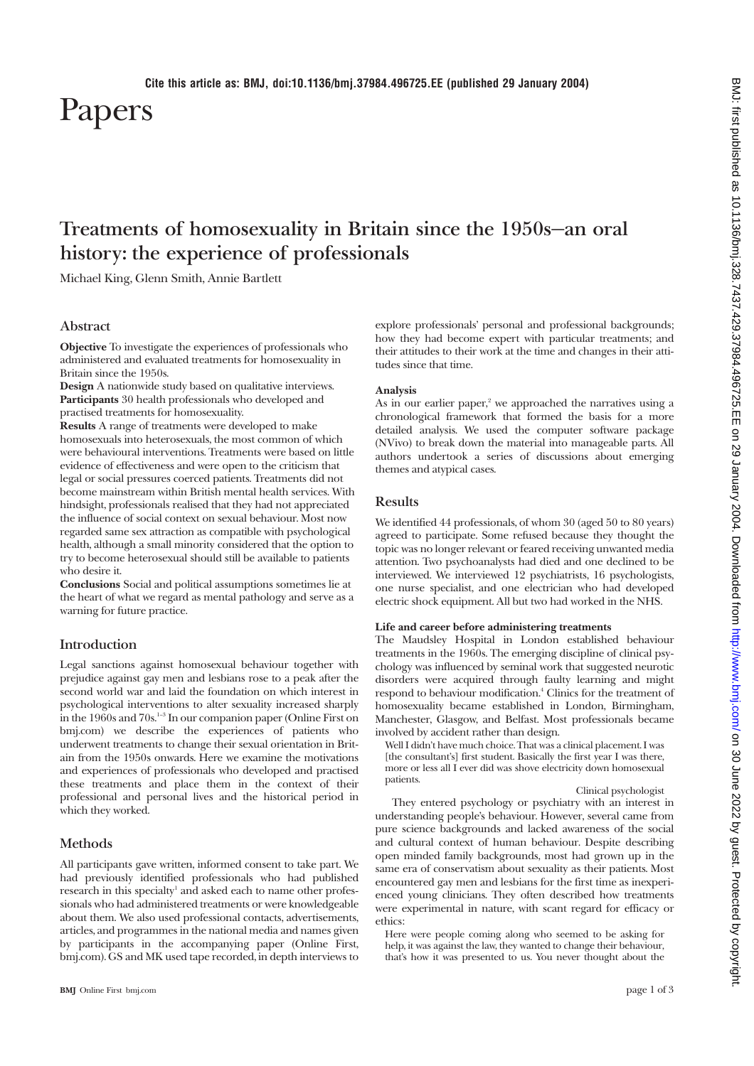# Papers

# **Treatments of homosexuality in Britain since the 1950s—an oral history: the experience of professionals**

Michael King, Glenn Smith, Annie Bartlett

# **Abstract**

**Objective** To investigate the experiences of professionals who administered and evaluated treatments for homosexuality in Britain since the 1950s.

**Design** A nationwide study based on qualitative interviews. **Participants** 30 health professionals who developed and practised treatments for homosexuality.

**Results** A range of treatments were developed to make homosexuals into heterosexuals, the most common of which were behavioural interventions. Treatments were based on little evidence of effectiveness and were open to the criticism that legal or social pressures coerced patients. Treatments did not become mainstream within British mental health services. With hindsight, professionals realised that they had not appreciated the influence of social context on sexual behaviour. Most now regarded same sex attraction as compatible with psychological health, although a small minority considered that the option to try to become heterosexual should still be available to patients who desire it.

**Conclusions** Social and political assumptions sometimes lie at the heart of what we regard as mental pathology and serve as a warning for future practice.

# **Introduction**

Legal sanctions against homosexual behaviour together with prejudice against gay men and lesbians rose to a peak after the second world war and laid the foundation on which interest in psychological interventions to alter sexuality increased sharply in the 1960s and 70s.1–3 In our companion paper (Online First on bmj.com) we describe the experiences of patients who underwent treatments to change their sexual orientation in Britain from the 1950s onwards. Here we examine the motivations and experiences of professionals who developed and practised these treatments and place them in the context of their professional and personal lives and the historical period in which they worked.

## **Methods**

All participants gave written, informed consent to take part. We had previously identified professionals who had published research in this specialty<sup>1</sup> and asked each to name other professionals who had administered treatments or were knowledgeable about them. We also used professional contacts, advertisements, articles, and programmes in the national media and names given by participants in the accompanying paper (Online First, bmj.com). GS and MK used tape recorded, in depth interviews to explore professionals' personal and professional backgrounds; how they had become expert with particular treatments; and their attitudes to their work at the time and changes in their attitudes since that time.

#### **Analysis**

As in our earlier paper,<sup>2</sup> we approached the narratives using a chronological framework that formed the basis for a more detailed analysis. We used the computer software package (NVivo) to break down the material into manageable parts. All authors undertook a series of discussions about emerging themes and atypical cases.

# **Results**

We identified 44 professionals, of whom 30 (aged 50 to 80 years) agreed to participate. Some refused because they thought the topic was no longer relevant or feared receiving unwanted media attention. Two psychoanalysts had died and one declined to be interviewed. We interviewed 12 psychiatrists, 16 psychologists, one nurse specialist, and one electrician who had developed electric shock equipment. All but two had worked in the NHS.

#### **Life and career before administering treatments**

The Maudsley Hospital in London established behaviour treatments in the 1960s. The emerging discipline of clinical psychology was influenced by seminal work that suggested neurotic disorders were acquired through faulty learning and might respond to behaviour modification.4 Clinics for the treatment of homosexuality became established in London, Birmingham, Manchester, Glasgow, and Belfast. Most professionals became involved by accident rather than design.

Well I didn't have much choice. That was a clinical placement. I was [the consultant's] first student. Basically the first year I was there, more or less all I ever did was shove electricity down homosexual patients.

#### Clinical psychologist

They entered psychology or psychiatry with an interest in understanding people's behaviour. However, several came from pure science backgrounds and lacked awareness of the social and cultural context of human behaviour. Despite describing open minded family backgrounds, most had grown up in the same era of conservatism about sexuality as their patients. Most encountered gay men and lesbians for the first time as inexperienced young clinicians. They often described how treatments were experimental in nature, with scant regard for efficacy or ethics:

Here were people coming along who seemed to be asking for help, it was against the law, they wanted to change their behaviour, that's how it was presented to us. You never thought about the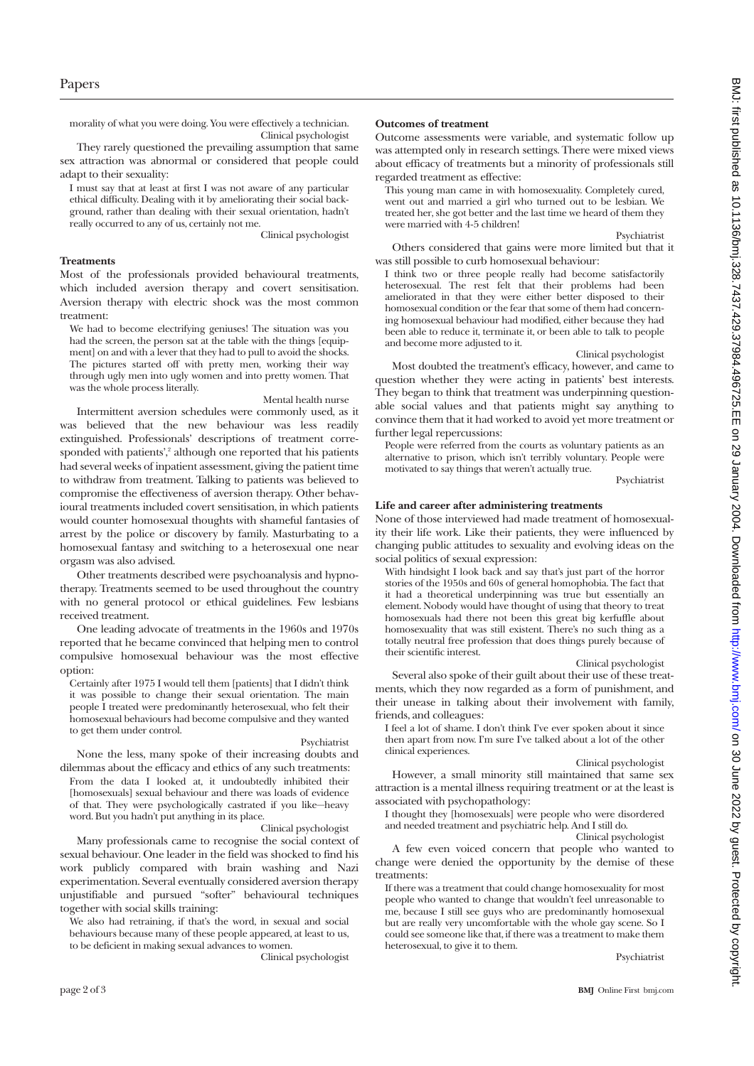morality of what you were doing. You were effectively a technician. Clinical psychologist

They rarely questioned the prevailing assumption that same sex attraction was abnormal or considered that people could adapt to their sexuality:

I must say that at least at first I was not aware of any particular ethical difficulty. Dealing with it by ameliorating their social background, rather than dealing with their sexual orientation, hadn't really occurred to any of us, certainly not me.

Clinical psychologist

#### **Treatments**

Most of the professionals provided behavioural treatments, which included aversion therapy and covert sensitisation. Aversion therapy with electric shock was the most common treatment:

We had to become electrifying geniuses! The situation was you had the screen, the person sat at the table with the things [equipment] on and with a lever that they had to pull to avoid the shocks. The pictures started off with pretty men, working their way through ugly men into ugly women and into pretty women. That was the whole process literally.

#### Mental health nurse

Intermittent aversion schedules were commonly used, as it was believed that the new behaviour was less readily extinguished. Professionals' descriptions of treatment corresponded with patients',<sup>2</sup> although one reported that his patients had several weeks of inpatient assessment, giving the patient time to withdraw from treatment. Talking to patients was believed to compromise the effectiveness of aversion therapy. Other behavioural treatments included covert sensitisation, in which patients would counter homosexual thoughts with shameful fantasies of arrest by the police or discovery by family. Masturbating to a homosexual fantasy and switching to a heterosexual one near orgasm was also advised.

Other treatments described were psychoanalysis and hypnotherapy. Treatments seemed to be used throughout the country with no general protocol or ethical guidelines. Few lesbians received treatment.

One leading advocate of treatments in the 1960s and 1970s reported that he became convinced that helping men to control compulsive homosexual behaviour was the most effective option:

Certainly after 1975 I would tell them [patients] that I didn't think it was possible to change their sexual orientation. The main people I treated were predominantly heterosexual, who felt their homosexual behaviours had become compulsive and they wanted to get them under control.

#### Psychiatrist

None the less, many spoke of their increasing doubts and dilemmas about the efficacy and ethics of any such treatments: From the data I looked at, it undoubtedly inhibited their [homosexuals] sexual behaviour and there was loads of evidence of that. They were psychologically castrated if you like—heavy word. But you hadn't put anything in its place.

Clinical psychologist

Many professionals came to recognise the social context of sexual behaviour. One leader in the field was shocked to find his work publicly compared with brain washing and Nazi experimentation. Several eventually considered aversion therapy unjustifiable and pursued "softer" behavioural techniques together with social skills training:

We also had retraining, if that's the word, in sexual and social behaviours because many of these people appeared, at least to us, to be deficient in making sexual advances to women.

Clinical psychologist

#### **Outcomes of treatment**

Outcome assessments were variable, and systematic follow up was attempted only in research settings. There were mixed views about efficacy of treatments but a minority of professionals still regarded treatment as effective:

This young man came in with homosexuality. Completely cured, went out and married a girl who turned out to be lesbian. We treated her, she got better and the last time we heard of them they were married with 4-5 children!

Psychiatrist

Others considered that gains were more limited but that it was still possible to curb homosexual behaviour:

I think two or three people really had become satisfactorily heterosexual. The rest felt that their problems had been ameliorated in that they were either better disposed to their homosexual condition or the fear that some of them had concerning homosexual behaviour had modified, either because they had been able to reduce it, terminate it, or been able to talk to people and become more adjusted to it.

#### Clinical psychologist

Most doubted the treatment's efficacy, however, and came to question whether they were acting in patients' best interests. They began to think that treatment was underpinning questionable social values and that patients might say anything to convince them that it had worked to avoid yet more treatment or further legal repercussions:

People were referred from the courts as voluntary patients as an alternative to prison, which isn't terribly voluntary. People were motivated to say things that weren't actually true.

Psychiatrist

#### **Life and career after administering treatments**

None of those interviewed had made treatment of homosexuality their life work. Like their patients, they were influenced by changing public attitudes to sexuality and evolving ideas on the social politics of sexual expression:

With hindsight I look back and say that's just part of the horror stories of the 1950s and 60s of general homophobia. The fact that it had a theoretical underpinning was true but essentially an element. Nobody would have thought of using that theory to treat homosexuals had there not been this great big kerfuffle about homosexuality that was still existent. There's no such thing as a totally neutral free profession that does things purely because of their scientific interest.

#### Clinical psychologist

Several also spoke of their guilt about their use of these treatments, which they now regarded as a form of punishment, and their unease in talking about their involvement with family, friends, and colleagues:

I feel a lot of shame. I don't think I've ever spoken about it since then apart from now. I'm sure I've talked about a lot of the other clinical experiences.

#### Clinical psychologist

However, a small minority still maintained that same sex attraction is a mental illness requiring treatment or at the least is associated with psychopathology:

I thought they [homosexuals] were people who were disordered and needed treatment and psychiatric help. And I still do.

Clinical psychologist

A few even voiced concern that people who wanted to change were denied the opportunity by the demise of these treatments:

If there was a treatment that could change homosexuality for most people who wanted to change that wouldn't feel unreasonable to me, because I still see guys who are predominantly homosexual but are really very uncomfortable with the whole gay scene. So I could see someone like that, if there was a treatment to make them heterosexual, to give it to them.

Psychiatrist